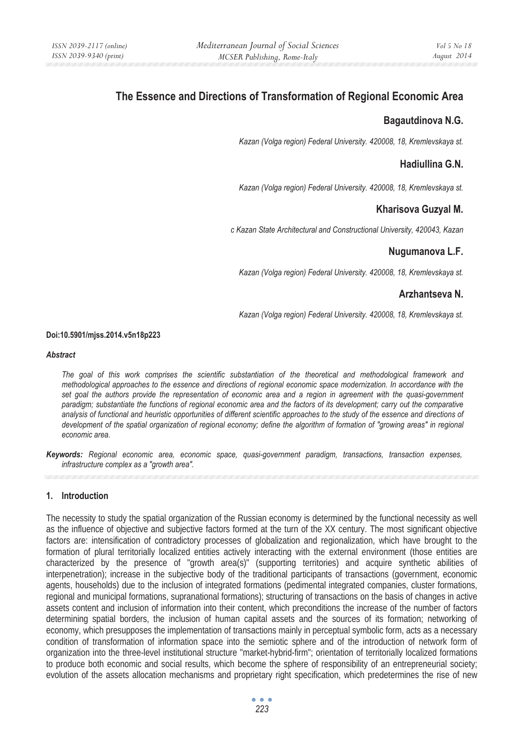# **The Essence and Directions of Transformation of Regional Economic Area**

### **Bagautdinova N.G.**

*Kazan (Volga region) Federal University. 420008, 18, Kremlevskaya st.* 

## **Hadiullina G.N.**

*Kazan (Volga region) Federal University. 420008, 18, Kremlevskaya st.* 

## **Kharisova Guzyal M.**

*c Kazan State Architectural and Constructional University, 420043, Kazan* 

## **Nugumanova L.F.**

*Kazan (Volga region) Federal University. 420008, 18, Kremlevskaya st.* 

## **Arzhantseva N.**

*Kazan (Volga region) Federal University. 420008, 18, Kremlevskaya st.* 

#### **Doi:10.5901/mjss.2014.v5n18p223**

#### *Abstract*

*The goal of this work comprises the scientific substantiation of the theoretical and methodological framework and methodological approaches to the essence and directions of regional economic space modernization. In accordance with the set goal the authors provide the representation of economic area and a region in agreement with the quasi-government paradigm; substantiate the functions of regional economic area and the factors of its development; carry out the comparative analysis of functional and heuristic opportunities of different scientific approaches to the study of the essence and directions of development of the spatial organization of regional economy; define the algorithm of formation of "growing areas" in regional economic area.* 

*Keywords: Regional economic area, economic space, quasi-government paradigm, transactions, transaction expenses, infrastructure complex as a "growth area".* 

### **1. Introduction**

The necessity to study the spatial organization of the Russian economy is determined by the functional necessity as well as the influence of objective and subjective factors formed at the turn of the XX century. The most significant objective factors are: intensification of contradictory processes of globalization and regionalization, which have brought to the formation of plural territorially localized entities actively interacting with the external environment (those entities are characterized by the presence of "growth area(s)" (supporting territories) and acquire synthetic abilities of interpenetration); increase in the subjective body of the traditional participants of transactions (government, economic agents, households) due to the inclusion of integrated formations (pedimental integrated companies, cluster formations, regional and municipal formations, supranational formations); structuring of transactions on the basis of changes in active assets content and inclusion of information into their content, which preconditions the increase of the number of factors determining spatial borders, the inclusion of human capital assets and the sources of its formation; networking of economy, which presupposes the implementation of transactions mainly in perceptual symbolic form, acts as a necessary condition of transformation of information space into the semiotic sphere and of the introduction of network form of organization into the three-level institutional structure "market-hybrid-firm"; orientation of territorially localized formations to produce both economic and social results, which become the sphere of responsibility of an entrepreneurial society; evolution of the assets allocation mechanisms and proprietary right specification, which predetermines the rise of new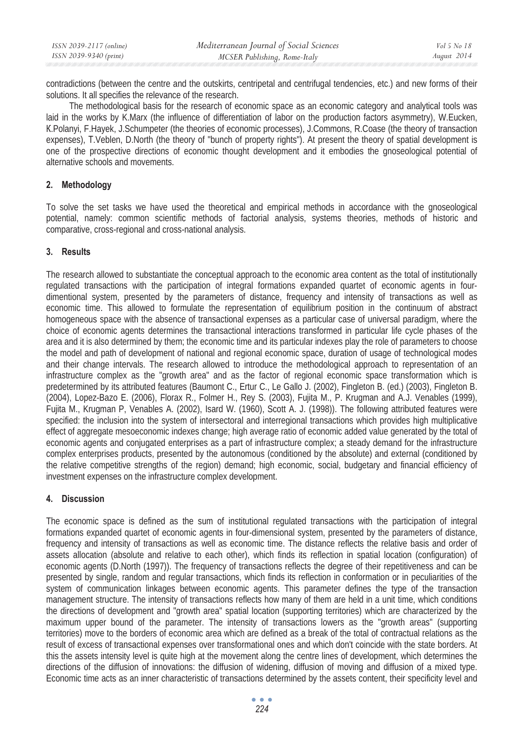| ISSN 2039-2117 (online) | Mediterranean Journal of Social Sciences | Vol 5 No 18 |
|-------------------------|------------------------------------------|-------------|
| ISSN 2039-9340 (print)  | MCSER Publishing, Rome-Italy             | August 2014 |

contradictions (between the centre and the outskirts, centripetal and centrifugal tendencies, etc.) and new forms of their solutions. It all specifies the relevance of the research.

The methodological basis for the research of economic space as an economic category and analytical tools was laid in the works by K.Marx (the influence of differentiation of labor on the production factors asymmetry), W.Eucken, Ʉ.Polanyi, F.Hayek, J.Schumpeter (the theories of economic processes), J.Commons, R.Coase (the theory of transaction expenses), T. Veblen, D. North (the theory of "bunch of property rights"). At present the theory of spatial development is one of the prospective directions of economic thought development and it embodies the gnoseological potential of alternative schools and movements.

### **2. Methodology**

To solve the set tasks we have used the theoretical and empirical methods in accordance with the gnoseological potential, namely: common scientific methods of factorial analysis, systems theories, methods of historic and comparative, cross-regional and cross-national analysis.

### **3. Results**

The research allowed to substantiate the conceptual approach to the economic area content as the total of institutionally regulated transactions with the participation of integral formations expanded quartet of economic agents in fourdimentional system, presented by the parameters of distance, frequency and intensity of transactions as well as economic time. This allowed to formulate the representation of equilibrium position in the continuum of abstract homogeneous space with the absence of transactional expenses as a particular case of universal paradigm, where the choice of economic agents determines the transactional interactions transformed in particular life cycle phases of the area and it is also determined by them; the economic time and its particular indexes play the role of parameters to choose the model and path of development of national and regional economic space, duration of usage of technological modes and their change intervals. The research allowed to introduce the methodological approach to representation of an infrastructure complex as the "growth area" and as the factor of regional economic space transformation which is predetermined by its attributed features (Baumont C., Ertur C., Le Gallo J. (2002), Fingleton B. (ed.) (2003), Fingleton B. (2004), Lopez-Bazo E. (2006), Florax R., Folmer H., Rey S. (2003), Fujita M., P. Krugman and A.J. Venables (1999), Fujita M., Krugman P, Venables A. (2002), Isard W. (1960), Scott A. J. (1998)). The following attributed features were specified: the inclusion into the system of intersectoral and interregional transactions which provides high multiplicative effect of aggregate mesoeconomic indexes change; high average ratio of economic added value generated by the total of economic agents and conjugated enterprises as a part of infrastructure complex; a steady demand for the infrastructure complex enterprises products, presented by the autonomous (conditioned by the absolute) and external (conditioned by the relative competitive strengths of the region) demand; high economic, social, budgetary and financial efficiency of investment expenses on the infrastructure complex development.

### **4. Discussion**

The economic space is defined as the sum of institutional regulated transactions with the participation of integral formations expanded quartet of economic agents in four-dimensional system, presented by the parameters of distance, frequency and intensity of transactions as well as economic time. The distance reflects the relative basis and order of assets allocation (absolute and relative to each other), which finds its reflection in spatial location (configuration) of economic agents (D.North (1997)). The frequency of transactions reflects the degree of their repetitiveness and can be presented by single, random and regular transactions, which finds its reflection in conformation or in peculiarities of the system of communication linkages between economic agents. This parameter defines the type of the transaction management structure. The intensity of transactions reflects how many of them are held in a unit time, which conditions the directions of development and "growth area" spatial location (supporting territories) which are characterized by the maximum upper bound of the parameter. The intensity of transactions lowers as the "growth areas" (supporting territories) move to the borders of economic area which are defined as a break of the total of contractual relations as the result of excess of transactional expenses over transformational ones and which don't coincide with the state borders. At this the assets intensity level is quite high at the movement along the centre lines of development, which determines the directions of the diffusion of innovations: the diffusion of widening, diffusion of moving and diffusion of a mixed type. Economic time acts as an inner characteristic of transactions determined by the assets content, their specificity level and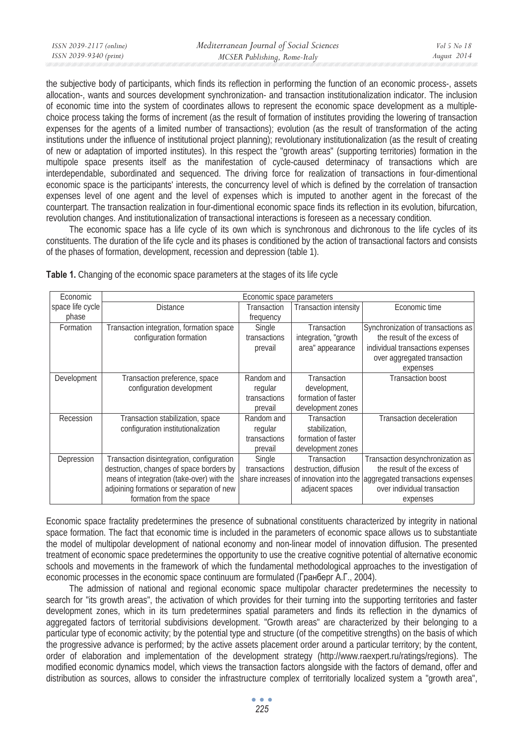| ISSN 2039-2117 (online) | Mediterranean Journal of Social Sciences | Vol 5 No 18 |
|-------------------------|------------------------------------------|-------------|
| ISSN 2039-9340 (print)  | MCSER Publishing, Rome-Italy             | August 2014 |
|                         |                                          |             |

the subjective body of participants, which finds its reflection in performing the function of an economic process-, assets allocation-, wants and sources development synchronization- and transaction institutionalization indicator. The inclusion of economic time into the system of coordinates allows to represent the economic space development as a multiplechoice process taking the forms of increment (as the result of formation of institutes providing the lowering of transaction expenses for the agents of a limited number of transactions); evolution (as the result of transformation of the acting institutions under the influence of institutional project planning); revolutionary institutionalization (as the result of creating of new or adaptation of imported institutes). In this respect the "growth areas" (supporting territories) formation in the multipole space presents itself as the manifestation of cycle-caused determinacy of transactions which are interdependable, subordinated and sequenced. The driving force for realization of transactions in four-dimentional economic space is the participants' interests, the concurrency level of which is defined by the correlation of transaction expenses level of one agent and the level of expenses which is imputed to another agent in the forecast of the counterpart. The transaction realization in four-dimentional economic space finds its reflection in its evolution, bifurcation, revolution changes. And institutionalization of transactional interactions is foreseen as a necessary condition.

The economic space has a life cycle of its own which is synchronous and dichronous to the life cycles of its constituents. The duration of the life cycle and its phases is conditioned by the action of transactional factors and consists of the phases of formation, development, recession and depression (table 1).

| Economic         | Economic space parameters                 |              |                              |                                                                         |  |
|------------------|-------------------------------------------|--------------|------------------------------|-------------------------------------------------------------------------|--|
| space life cycle | <b>Distance</b>                           | Transaction  | <b>Transaction intensity</b> | Economic time                                                           |  |
| phase            |                                           | frequency    |                              |                                                                         |  |
| Formation        | Transaction integration, formation space  | Single       | Transaction                  | Synchronization of transactions as                                      |  |
|                  | configuration formation                   | transactions | integration, "growth         | the result of the excess of                                             |  |
|                  |                                           | prevail      | area" appearance             | individual transactions expenses                                        |  |
|                  |                                           |              |                              | over aggregated transaction                                             |  |
|                  |                                           |              |                              | expenses                                                                |  |
| Development      | Transaction preference, space             | Random and   | Transaction                  | <b>Transaction boost</b>                                                |  |
|                  | configuration development                 | regular      | development,                 |                                                                         |  |
|                  |                                           | transactions | formation of faster          |                                                                         |  |
|                  |                                           | prevail      | development zones            |                                                                         |  |
| Recession        | Transaction stabilization, space          | Random and   | Transaction                  | <b>Transaction deceleration</b>                                         |  |
|                  | configuration institutionalization        | regular      | stabilization.               |                                                                         |  |
|                  |                                           | transactions | formation of faster          |                                                                         |  |
|                  |                                           | prevail      | development zones            |                                                                         |  |
| Depression       | Transaction disintegration, configuration | Single       | Transaction                  | Transaction desynchronization as                                        |  |
|                  | destruction, changes of space borders by  | transactions | destruction, diffusion       | the result of the excess of                                             |  |
|                  | means of integration (take-over) with the |              |                              | share increases of innovation into the aggregated transactions expenses |  |
|                  | adjoining formations or separation of new |              | adjacent spaces              | over individual transaction                                             |  |
|                  | formation from the space                  |              |                              | expenses                                                                |  |

**Table 1.** Changing of the economic space parameters at the stages of its life cycle

Economic space fractality predetermines the presence of subnational constituents characterized by integrity in national space formation. The fact that economic time is included in the parameters of economic space allows us to substantiate the model of multipolar development of national economy and non-linear model of innovation diffusion. The presented treatment of economic space predetermines the opportunity to use the creative cognitive potential of alternative economic schools and movements in the framework of which the fundamental methodological approaches to the investigation of economic processes in the economic space continuum are formulated (Гранберг А.Г., 2004).

The admission of national and regional economic space multipolar character predetermines the necessity to search for "its growth areas", the activation of which provides for their turning into the supporting territories and faster development zones, which in its turn predetermines spatial parameters and finds its reflection in the dynamics of aggregated factors of territorial subdivisions development. "Growth areas" are characterized by their belonging to a particular type of economic activity; by the potential type and structure (of the competitive strengths) on the basis of which the progressive advance is performed; by the active assets placement order around a particular territory; by the content, order of elaboration and implementation of the development strategy (http://www.raexpert.ru/ratings/regions). The modified economic dynamics model, which views the transaction factors alongside with the factors of demand, offer and distribution as sources, allows to consider the infrastructure complex of territorially localized system a "growth area",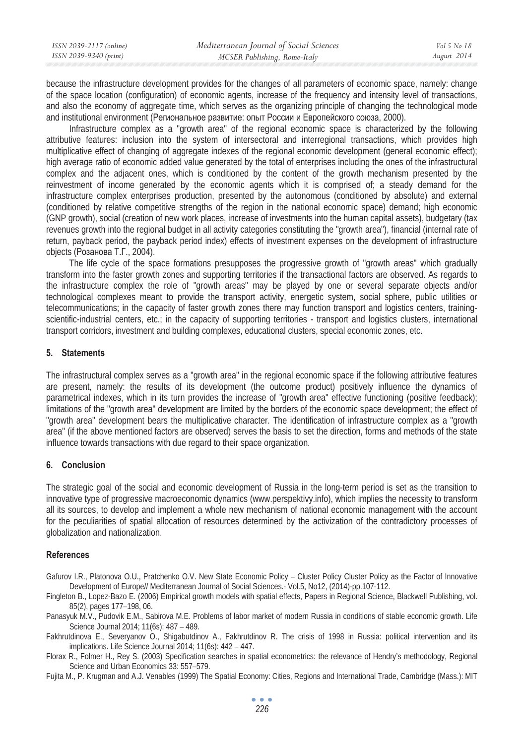| ISSN 2039-2117 (online) | Mediterranean Journal of Social Sciences | Vol 5 No 18 |
|-------------------------|------------------------------------------|-------------|
| ISSN 2039-9340 (print)  | MCSER Publishing, Rome-Italy             | August 2014 |

because the infrastructure development provides for the changes of all parameters of economic space, namely: change of the space location (configuration) of economic agents, increase of the frequency and intensity level of transactions, and also the economy of aggregate time, which serves as the organizing principle of changing the technological mode and institutional environment (Региональное развитие: опыт России и Европейского союза, 2000).

Infrastructure complex as a "growth area" of the regional economic space is characterized by the following attributive features: inclusion into the system of intersectoral and interregional transactions, which provides high multiplicative effect of changing of aggregate indexes of the regional economic development (general economic effect); high average ratio of economic added value generated by the total of enterprises including the ones of the infrastructural complex and the adjacent ones, which is conditioned by the content of the growth mechanism presented by the reinvestment of income generated by the economic agents which it is comprised of; a steady demand for the infrastructure complex enterprises production, presented by the autonomous (conditioned by absolute) and external (conditioned by relative competitive strengths of the region in the national economic space) demand; high economic (GNP growth), social (creation of new work places, increase of investments into the human capital assets), budgetary (tax revenues growth into the regional budget in all activity categories constituting the "growth area"), financial (internal rate of return, payback period, the payback period index) effects of investment expenses on the development of infrastructure objects (Розанова Т.Г., 2004).

The life cycle of the space formations presupposes the progressive growth of "growth areas" which gradually transform into the faster growth zones and supporting territories if the transactional factors are observed. As regards to the infrastructure complex the role of "growth areas" may be played by one or several separate objects and/or technological complexes meant to provide the transport activity, energetic system, social sphere, public utilities or telecommunications; in the capacity of faster growth zones there may function transport and logistics centers, trainingscientific-industrial centers, etc.; in the capacity of supporting territories - transport and logistics clusters, international transport corridors, investment and building complexes, educational clusters, special economic zones, etc.

### **5. Statements**

The infrastructural complex serves as a "growth area" in the regional economic space if the following attributive features are present, namely: the results of its development (the outcome product) positively influence the dynamics of parametrical indexes, which in its turn provides the increase of "growth area" effective functioning (positive feedback); limitations of the "growth area" development are limited by the borders of the economic space development; the effect of "growth area" development bears the multiplicative character. The identification of infrastructure complex as a "growth area" (if the above mentioned factors are observed) serves the basis to set the direction, forms and methods of the state influence towards transactions with due regard to their space organization.

### **6. Conclusion**

The strategic goal of the social and economic development of Russia in the long-term period is set as the transition to innovative type of progressive macroeconomic dynamics (www.perspektivy.info), which implies the necessity to transform all its sources, to develop and implement a whole new mechanism of national economic management with the account for the peculiarities of spatial allocation of resources determined by the activization of the contradictory processes of globalization and nationalization.

#### **References**

- Gafurov I.R., Platonova O.U., Pratchenko O.V. New State Economic Policy Cluster Policy Cluster Policy as the Factor of Innovative Development of Europe// Mediterranean Journal of Social Sciences.- Vol.5, No12, (2014)-pp.107-112.
- Fingleton B., Lopez-Bazo E. (2006) Empirical growth models with spatial effects, Papers in Regional Science, Blackwell Publishing, vol. 85(2), pages 177–198, 06.

Panasyuk M.V., Pudovik E.M., Sabirova M.E. Problems of labor market of modern Russia in conditions of stable economic growth. Life Science Journal 2014; 11(6s): 487 – 489.

Fakhrutdinova E., Severyanov O., Shigabutdinov A., Fakhrutdinov R. The crisis of 1998 in Russia: political intervention and its implications. Life Science Journal 2014; 11(6s): 442 – 447.

Florax R., Folmer H., Rey S. (2003) Specification searches in spatial econometrics: the relevance of Hendry's methodology, Regional Science and Urban Economics 33: 557–579.

Fujita M., P. Krugman and A.J. Venables (1999) The Spatial Economy: Cities, Regions and International Trade, Cambridge (Mass.): MIT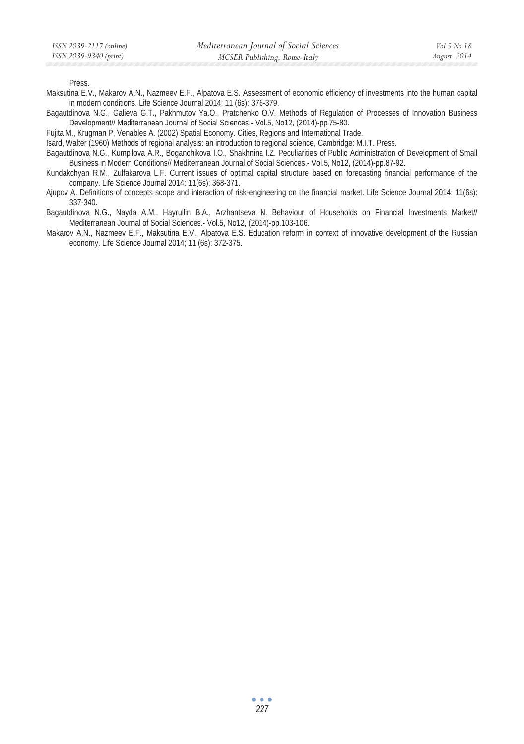Press.

- Maksutina E.V., Makarov A.N., Nazmeev E.F., Alpatova E.S. Assessment of economic efficiency of investments into the human capital in modern conditions. Life Science Journal 2014; 11 (6s): 376-379.
- Bagautdinova N.G., Galieva G.T., Pakhmutov Ya.O., Pratchenko O.V. Methods of Regulation of Processes of Innovation Business Development// Mediterranean Journal of Social Sciences.- Vol.5, No12, (2014)-pp.75-80.
- Fujita M., Krugman P, Venables A. (2002) Spatial Economy. Cities, Regions and International Trade.

Isard, Walter (1960) Methods of regional analysis: an introduction to regional science, Cambridge: M.I.T. Press.

Bagautdinova N.G., Kumpilova A.R., Boganchikova I.O., Shakhnina I.Z. Peculiarities of Public Administration of Development of Small Business in Modern Conditions// Mediterranean Journal of Social Sciences.- Vol.5, No12, (2014)-pp.87-92.

Kundakchyan R.M., Zulfakarova L.F. Current issues of optimal capital structure based on forecasting financial performance of the company. Life Science Journal 2014; 11(6s): 368-371.

Ajupov A. Definitions of concepts scope and interaction of risk-engineering on the financial market. Life Science Journal 2014; 11(6s): 337-340.

Bagautdinova N.G., Nayda A.M., Hayrullin B.A., Arzhantseva N. Behaviour of Households on Financial Investments Market// Mediterranean Journal of Social Sciences.- Vol.5, No12, (2014)-pp.103-106.

Makarov A.N., Nazmeev E.F., Maksutina E.V., Alpatova E.S. Education reform in context of innovative development of the Russian economy. Life Science Journal 2014; 11 (6s): 372-375.